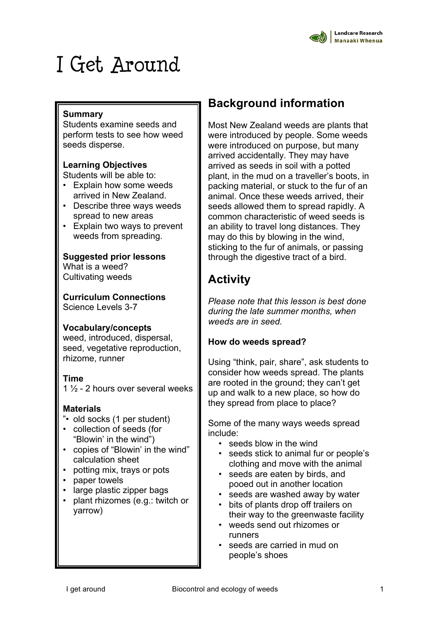

# I Get Around

#### **Summary**

Students examine seeds and perform tests to see how weed seeds disperse.

#### **Learning Objectives**

Students will be able to:

- Explain how some weeds arrived in New Zealand.
- Describe three ways weeds spread to new areas
- Explain two ways to prevent weeds from spreading.

#### **Suggested prior lessons**

What is a weed? Cultivating weeds

**Curriculum Connections** Science Levels 3-7

#### **Vocabulary/concepts**

weed, introduced, dispersal, seed, vegetative reproduction, rhizome, runner

#### **Time**

1 ½ - 2 hours over several weeks

#### **Materials**

- "• old socks (1 per student)
- collection of seeds (for "Blowin' in the wind")
- copies of "Blowin' in the wind" calculation sheet
- potting mix, trays or pots
- paper towels
- large plastic zipper bags
- plant rhizomes (e.g.: twitch or yarrow)

## **Background information**

Most New Zealand weeds are plants that were introduced by people. Some weeds were introduced on purpose, but many arrived accidentally. They may have arrived as seeds in soil with a potted plant, in the mud on a traveller's boots, in packing material, or stuck to the fur of an animal. Once these weeds arrived, their seeds allowed them to spread rapidly. A common characteristic of weed seeds is an ability to travel long distances. They may do this by blowing in the wind, sticking to the fur of animals, or passing through the digestive tract of a bird.

## **Activity**

*Please note that this lesson is best done during the late summer months, when weeds are in seed.*

#### **How do weeds spread?**

Using "think, pair, share", ask students to consider how weeds spread. The plants are rooted in the ground; they can't get up and walk to a new place, so how do they spread from place to place?

Some of the many ways weeds spread include:

- seeds blow in the wind
- seeds stick to animal fur or people's clothing and move with the animal
- seeds are eaten by birds, and pooed out in another location
- seeds are washed away by water
- bits of plants drop off trailers on their way to the greenwaste facility
- weeds send out rhizomes or runners
- seeds are carried in mud on people's shoes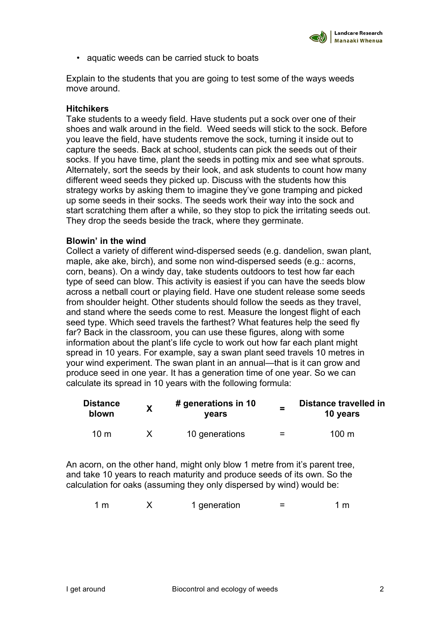• aquatic weeds can be carried stuck to boats

Explain to the students that you are going to test some of the ways weeds move around.

#### **Hitchikers**

Take students to a weedy field. Have students put a sock over one of their shoes and walk around in the field. Weed seeds will stick to the sock. Before you leave the field, have students remove the sock, turning it inside out to capture the seeds. Back at school, students can pick the seeds out of their socks. If you have time, plant the seeds in potting mix and see what sprouts. Alternately, sort the seeds by their look, and ask students to count how many different weed seeds they picked up. Discuss with the students how this strategy works by asking them to imagine they've gone tramping and picked up some seeds in their socks. The seeds work their way into the sock and start scratching them after a while, so they stop to pick the irritating seeds out. They drop the seeds beside the track, where they germinate.

#### **Blowin' in the wind**

Collect a variety of different wind-dispersed seeds (e.g. dandelion, swan plant, maple, ake ake, birch), and some non wind-dispersed seeds (e.g.: acorns, corn, beans). On a windy day, take students outdoors to test how far each type of seed can blow. This activity is easiest if you can have the seeds blow across a netball court or playing field. Have one student release some seeds from shoulder height. Other students should follow the seeds as they travel, and stand where the seeds come to rest. Measure the longest flight of each seed type. Which seed travels the farthest? What features help the seed fly far? Back in the classroom, you can use these figures, along with some information about the plant's life cycle to work out how far each plant might spread in 10 years. For example, say a swan plant seed travels 10 metres in your wind experiment. The swan plant in an annual—that is it can grow and produce seed in one year. It has a generation time of one year. So we can calculate its spread in 10 years with the following formula:

| <b>Distance</b><br>blown | Χ | # generations in 10<br>vears | $\equiv$ | Distance travelled in<br>10 years |  |
|--------------------------|---|------------------------------|----------|-----------------------------------|--|
| 10 m                     |   | 10 generations               | =        | $100 \text{ m}$                   |  |

An acorn, on the other hand, might only blow 1 metre from it's parent tree, and take 10 years to reach maturity and produce seeds of its own. So the calculation for oaks (assuming they only dispersed by wind) would be:

| 1 <sub>m</sub><br>1 generation | 1 m |
|--------------------------------|-----|
|--------------------------------|-----|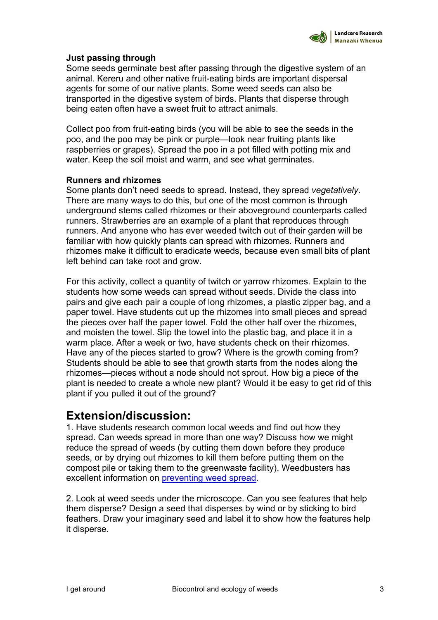#### **Just passing through**

Some seeds germinate best after passing through the digestive system of an animal. Kereru and other native fruit-eating birds are important dispersal agents for some of our native plants. Some weed seeds can also be transported in the digestive system of birds. Plants that disperse through being eaten often have a sweet fruit to attract animals.

Collect poo from fruit-eating birds (you will be able to see the seeds in the poo, and the poo may be pink or purple—look near fruiting plants like raspberries or grapes). Spread the poo in a pot filled with potting mix and water. Keep the soil moist and warm, and see what germinates.

#### **Runners and rhizomes**

Some plants don't need seeds to spread. Instead, they spread *vegetatively*. There are many ways to do this, but one of the most common is through underground stems called rhizomes or their aboveground counterparts called runners. Strawberries are an example of a plant that reproduces through runners. And anyone who has ever weeded twitch out of their garden will be familiar with how quickly plants can spread with rhizomes. Runners and rhizomes make it difficult to eradicate weeds, because even small bits of plant left behind can take root and grow.

For this activity, collect a quantity of twitch or yarrow rhizomes. Explain to the students how some weeds can spread without seeds. Divide the class into pairs and give each pair a couple of long rhizomes, a plastic zipper bag, and a paper towel. Have students cut up the rhizomes into small pieces and spread the pieces over half the paper towel. Fold the other half over the rhizomes, and moisten the towel. Slip the towel into the plastic bag, and place it in a warm place. After a week or two, have students check on their rhizomes. Have any of the pieces started to grow? Where is the growth coming from? Students should be able to see that growth starts from the nodes along the rhizomes—pieces without a node should not sprout. How big a piece of the plant is needed to create a whole new plant? Would it be easy to get rid of this plant if you pulled it out of the ground?

### **Extension/discussion:**

1. Have students research common local weeds and find out how they spread. Can weeds spread in more than one way? Discuss how we might reduce the spread of weeds (by cutting them down before they produce seeds, or by drying out rhizomes to kill them before putting them on the compost pile or taking them to the greenwaste facility). Weedbusters has excellent information on preventing weed spread.

2. Look at weed seeds under the microscope. Can you see features that help them disperse? Design a seed that disperses by wind or by sticking to bird feathers. Draw your imaginary seed and label it to show how the features help it disperse.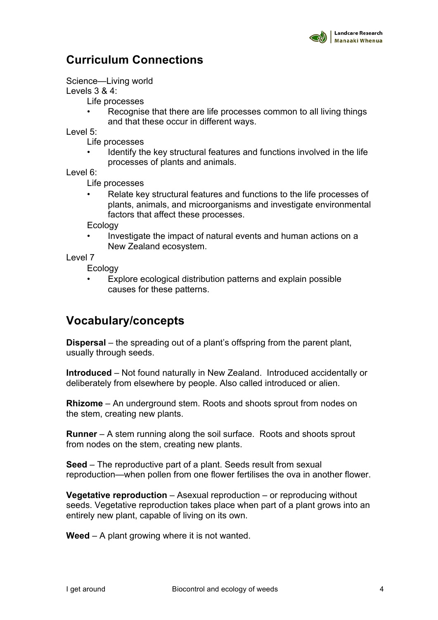## **Curriculum Connections**

Science—Living world

Levels 3 & 4:

Life processes

Recognise that there are life processes common to all living things and that these occur in different ways.

Level 5:

Life processes

• Identify the key structural features and functions involved in the life processes of plants and animals.

Level 6:

Life processes

• Relate key structural features and functions to the life processes of plants, animals, and microorganisms and investigate environmental factors that affect these processes.

Ecology

• Investigate the impact of natural events and human actions on a New Zealand ecosystem.

Level 7

**Ecology** 

• Explore ecological distribution patterns and explain possible causes for these patterns.

## **Vocabulary/concepts**

**Dispersal** – the spreading out of a plant's offspring from the parent plant, usually through seeds.

**Introduced** – Not found naturally in New Zealand. Introduced accidentally or deliberately from elsewhere by people. Also called introduced or alien.

**Rhizome** – An underground stem. Roots and shoots sprout from nodes on the stem, creating new plants.

**Runner** – A stem running along the soil surface. Roots and shoots sprout from nodes on the stem, creating new plants.

**Seed** – The reproductive part of a plant. Seeds result from sexual reproduction—when pollen from one flower fertilises the ova in another flower.

**Vegetative reproduction** – Asexual reproduction – or reproducing without seeds. Vegetative reproduction takes place when part of a plant grows into an entirely new plant, capable of living on its own.

**Weed** – A plant growing where it is not wanted.